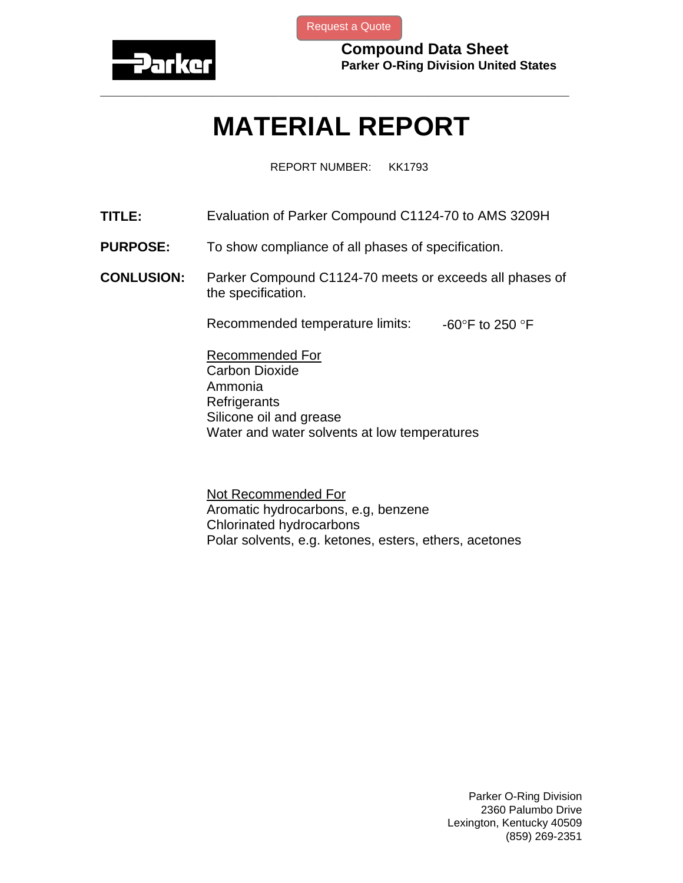

[Request a Quote](http://www.marcorubber.com/contact_quote.htm?material=Parker+C1124-70)

**Compound Data Sheet Parker O-Ring Division United States** 

## **MATERIAL REPORT**

**\_\_\_\_\_\_\_\_\_\_\_\_\_\_\_\_\_\_\_\_\_\_\_\_\_\_\_\_\_\_\_\_\_\_\_\_\_\_\_\_\_\_\_\_\_\_\_\_\_\_\_\_\_\_\_\_\_\_\_\_\_\_\_** 

REPORT NUMBER: KK1793

- **TITLE:** Evaluation of Parker Compound C1124-70 to AMS 3209H
- **PURPOSE:** To show compliance of all phases of specification.
- **CONLUSION:** Parker Compound C1124-70 meets or exceeds all phases of the specification.

Recommended temperature limits:  $-60^{\circ}$ F to 250  $\circ$ F

Recommended For Carbon Dioxide Ammonia **Refrigerants** Silicone oil and grease Water and water solvents at low temperatures

Not Recommended For Aromatic hydrocarbons, e.g, benzene Chlorinated hydrocarbons Polar solvents, e.g. ketones, esters, ethers, acetones

> Parker O-Ring Division 2360 Palumbo Drive Lexington, Kentucky 40509 (859) 269-2351